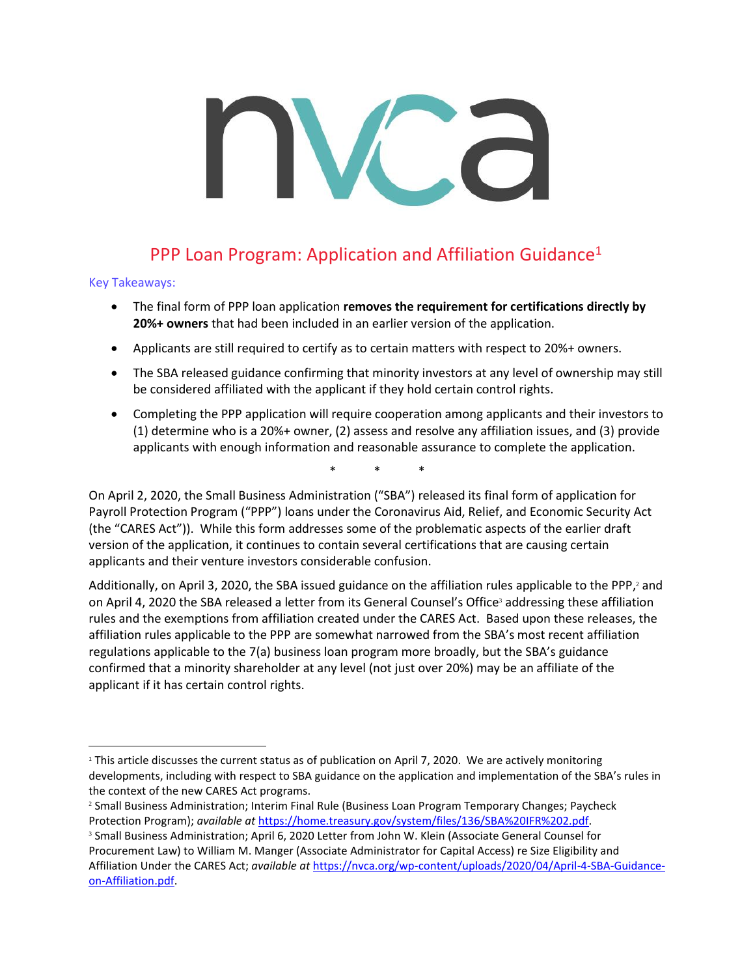# PPP Loan Program: Application and Affiliation Guidance<sup>1</sup>

## Key Takeaways:

- The final form of PPP loan application **removes the requirement for certifications directly by 20%+ owners** that had been included in an earlier version of the application.
- Applicants are still required to certify as to certain matters with respect to 20%+ owners.
- The SBA released guidance confirming that minority investors at any level of ownership may still be considered affiliated with the applicant if they hold certain control rights.
- Completing the PPP application will require cooperation among applicants and their investors to (1) determine who is a 20%+ owner, (2) assess and resolve any affiliation issues, and (3) provide applicants with enough information and reasonable assurance to complete the application.

\* \* \*

On April 2, 2020, the Small Business Administration ("SBA") released its final form of application for Payroll Protection Program ("PPP") loans under the Coronavirus Aid, Relief, and Economic Security Act (the "CARES Act")). While this form addresses some of the problematic aspects of the earlier draft version of the application, it continues to contain several certifications that are causing certain applicants and their venture investors considerable confusion.

Additionally, on April 3, 2020, the SBA issued guidance on the affiliation rules applicable to the PPP,<sup>2</sup> and on April 4, 2020 the SBA released a letter from its General Counsel's Office <sup>3</sup> addressing these affiliation rules and the exemptions from affiliation created under the CARES Act. Based upon these releases, the affiliation rules applicable to the PPP are somewhat narrowed from the SBA's most recent affiliation regulations applicable to the 7(a) business loan program more broadly, but the SBA's guidance confirmed that a minority shareholder at any level (not just over 20%) may be an affiliate of the applicant if it has certain control rights.

<sup>&</sup>lt;sup>1</sup> This article discusses the current status as of publication on April 7, 2020. We are actively monitoring developments, including with respect to SBA guidance on the application and implementation of the SBA's rules in the context of the new CARES Act programs.

<sup>2</sup> Small Business Administration; Interim Final Rule (Business Loan Program Temporary Changes; Paycheck Protection Program); *available at* [https://home.treasury.gov/system/files/136/SBA%20IFR%202.pdf.](https://home.treasury.gov/system/files/136/SBA%20IFR%202.pdf)

<sup>&</sup>lt;sup>3</sup> Small Business Administration; April 6, 2020 Letter from John W. Klein (Associate General Counsel for Procurement Law) to William M. Manger (Associate Administrator for Capital Access) re Size Eligibility and Affiliation Under the CARES Act; *available at* [https://nvca.org/wp-content/uploads/2020/04/April-4-SBA-Guidance](https://nvca.org/wp-content/uploads/2020/04/April-4-SBA-Guidance-on-Affiliation.pdf)[on-Affiliation.pdf.](https://nvca.org/wp-content/uploads/2020/04/April-4-SBA-Guidance-on-Affiliation.pdf)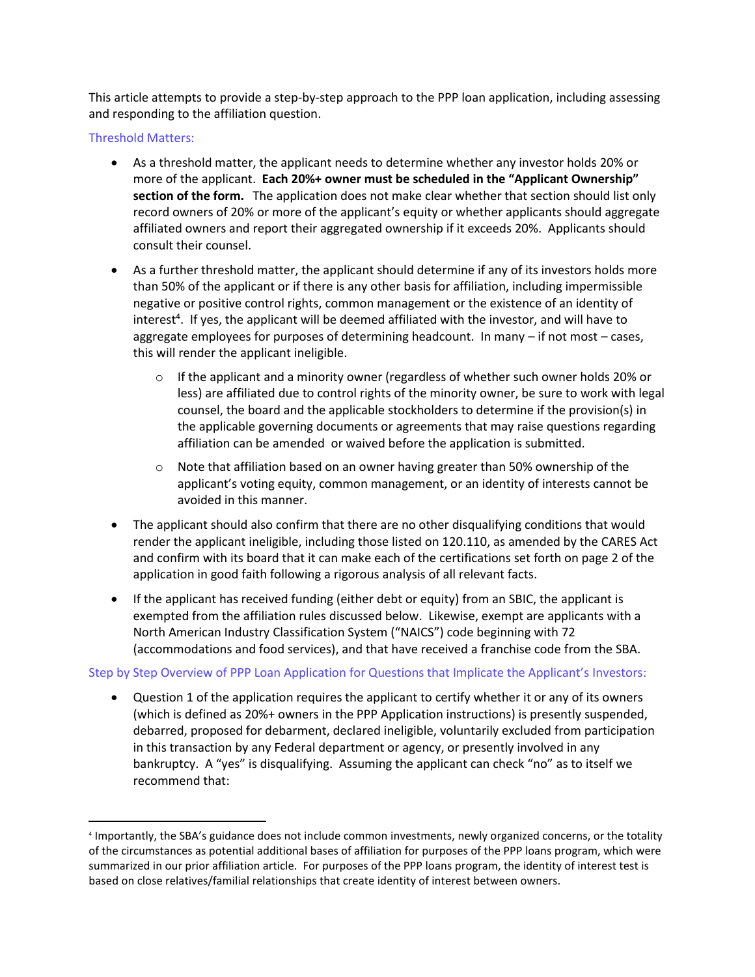This article attempts to provide a step-by-step approach to the PPP loan application, including assessing and responding to the affiliation question.

Threshold Matters:

- As a threshold matter, the applicant needs to determine whether any investor holds 20% or more of the applicant. **Each 20%+ owner must be scheduled in the "Applicant Ownership" section of the form.** The application does not make clear whether that section should list only record owners of 20% or more of the applicant's equity or whether applicants should aggregate affiliated owners and report their aggregated ownership if it exceeds 20%. Applicants should consult their counsel.
- As a further threshold matter, the applicant should determine if any of its investors holds more than 50% of the applicant or if there is any other basis for affiliation, including impermissible negative or positive control rights, common management or the existence of an identity of interest<sup>4</sup>. If yes, the applicant will be deemed affiliated with the investor, and will have to aggregate employees for purposes of determining headcount. In many – if not most – cases, this will render the applicant ineligible.
	- $\circ$  If the applicant and a minority owner (regardless of whether such owner holds 20% or less) are affiliated due to control rights of the minority owner, be sure to work with legal counsel, the board and the applicable stockholders to determine if the provision(s) in the applicable governing documents or agreements that may raise questions regarding affiliation can be amended or waived before the application is submitted.
	- o Note that affiliation based on an owner having greater than 50% ownership of the applicant's voting equity, common management, or an identity of interests cannot be avoided in this manner.
- The applicant should also confirm that there are no other disqualifying conditions that would render the applicant ineligible, including those listed on 120.110, as amended by the CARES Act and confirm with its board that it can make each of the certifications set forth on page 2 of the application in good faith following a rigorous analysis of all relevant facts.
- If the applicant has received funding (either debt or equity) from an SBIC, the applicant is exempted from the affiliation rules discussed below. Likewise, exempt are applicants with a North American Industry Classification System ("NAICS") code beginning with 72 (accommodations and food services), and that have received a franchise code from the SBA.

## Step by Step Overview of PPP Loan Application for Questions that Implicate the Applicant's Investors:

• Question 1 of the application requires the applicant to certify whether it or any of its owners (which is defined as 20%+ owners in the PPP Application instructions) is presently suspended, debarred, proposed for debarment, declared ineligible, voluntarily excluded from participation in this transaction by any Federal department or agency, or presently involved in any bankruptcy. A "yes" is disqualifying. Assuming the applicant can check "no" as to itself we recommend that:

<sup>4</sup> Importantly, the SBA's guidance does not include common investments, newly organized concerns, or the totality of the circumstances as potential additional bases of affiliation for purposes of the PPP loans program, which were summarized in our prior affiliation article. For purposes of the PPP loans program, the identity of interest test is based on close relatives/familial relationships that create identity of interest between owners.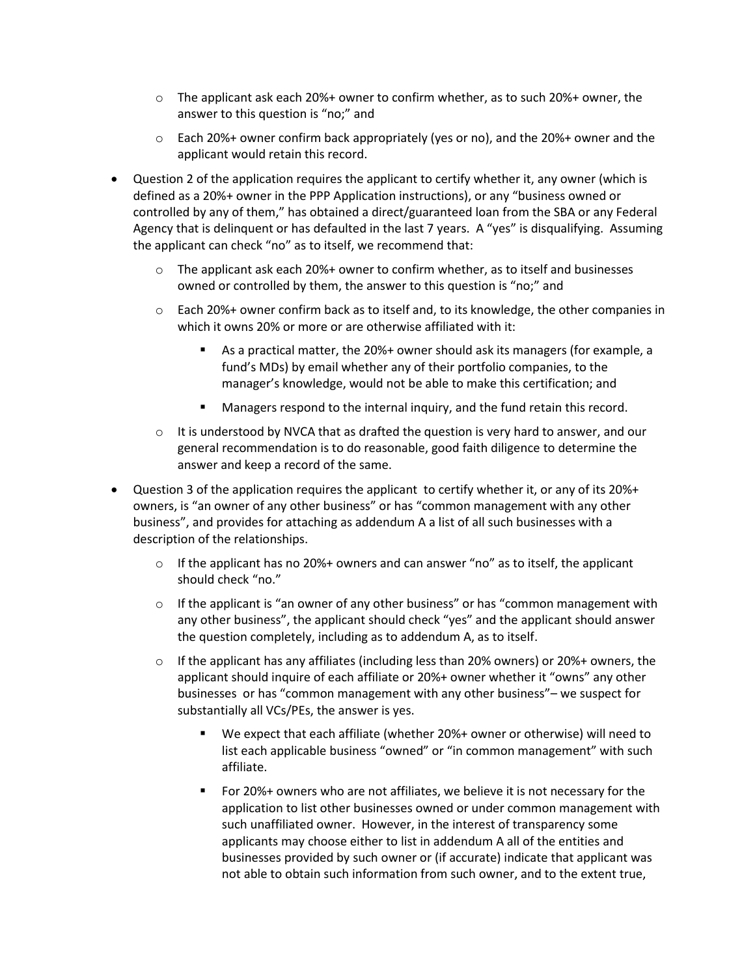- $\circ$  The applicant ask each 20%+ owner to confirm whether, as to such 20%+ owner, the answer to this question is "no;" and
- $\circ$  Each 20%+ owner confirm back appropriately (yes or no), and the 20%+ owner and the applicant would retain this record.
- Question 2 of the application requires the applicant to certify whether it, any owner (which is defined as a 20%+ owner in the PPP Application instructions), or any "business owned or controlled by any of them," has obtained a direct/guaranteed loan from the SBA or any Federal Agency that is delinquent or has defaulted in the last 7 years. A "yes" is disqualifying. Assuming the applicant can check "no" as to itself, we recommend that:
	- $\circ$  The applicant ask each 20%+ owner to confirm whether, as to itself and businesses owned or controlled by them, the answer to this question is "no;" and
	- o Each 20%+ owner confirm back as to itself and, to its knowledge, the other companies in which it owns 20% or more or are otherwise affiliated with it:
		- As a practical matter, the 20%+ owner should ask its managers (for example, a fund's MDs) by email whether any of their portfolio companies, to the manager's knowledge, would not be able to make this certification; and
		- Managers respond to the internal inquiry, and the fund retain this record.
	- $\circ$  It is understood by NVCA that as drafted the question is very hard to answer, and our general recommendation is to do reasonable, good faith diligence to determine the answer and keep a record of the same.
- Question 3 of the application requires the applicant to certify whether it, or any of its 20%+ owners, is "an owner of any other business" or has "common management with any other business", and provides for attaching as addendum A a list of all such businesses with a description of the relationships.
	- $\circ$  If the applicant has no 20%+ owners and can answer "no" as to itself, the applicant should check "no."
	- o If the applicant is "an owner of any other business" or has "common management with any other business", the applicant should check "yes" and the applicant should answer the question completely, including as to addendum A, as to itself.
	- $\circ$  If the applicant has any affiliates (including less than 20% owners) or 20%+ owners, the applicant should inquire of each affiliate or 20%+ owner whether it "owns" any other businesses or has "common management with any other business"– we suspect for substantially all VCs/PEs, the answer is yes.
		- We expect that each affiliate (whether 20%+ owner or otherwise) will need to list each applicable business "owned" or "in common management" with such affiliate.
		- For 20%+ owners who are not affiliates, we believe it is not necessary for the application to list other businesses owned or under common management with such unaffiliated owner. However, in the interest of transparency some applicants may choose either to list in addendum A all of the entities and businesses provided by such owner or (if accurate) indicate that applicant was not able to obtain such information from such owner, and to the extent true,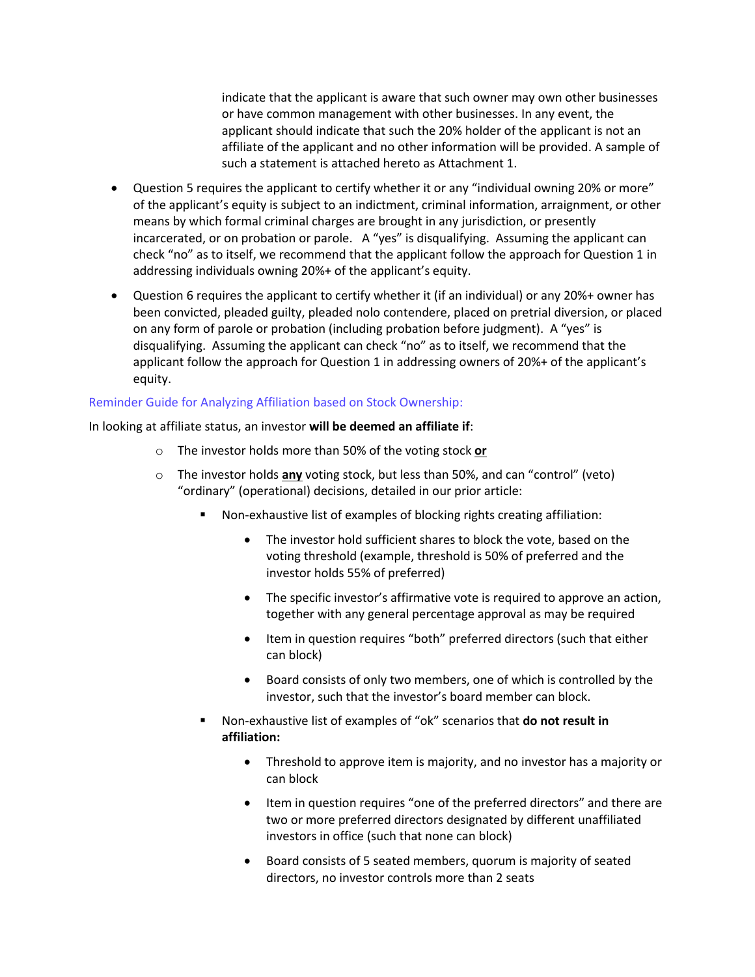indicate that the applicant is aware that such owner may own other businesses or have common management with other businesses. In any event, the applicant should indicate that such the 20% holder of the applicant is not an affiliate of the applicant and no other information will be provided. A sample of such a statement is attached hereto as Attachment 1.

- Question 5 requires the applicant to certify whether it or any "individual owning 20% or more" of the applicant's equity is subject to an indictment, criminal information, arraignment, or other means by which formal criminal charges are brought in any jurisdiction, or presently incarcerated, or on probation or parole. A "yes" is disqualifying. Assuming the applicant can check "no" as to itself, we recommend that the applicant follow the approach for Question 1 in addressing individuals owning 20%+ of the applicant's equity.
- Question 6 requires the applicant to certify whether it (if an individual) or any 20%+ owner has been convicted, pleaded guilty, pleaded nolo contendere, placed on pretrial diversion, or placed on any form of parole or probation (including probation before judgment). A "yes" is disqualifying. Assuming the applicant can check "no" as to itself, we recommend that the applicant follow the approach for Question 1 in addressing owners of 20%+ of the applicant's equity.

## Reminder Guide for Analyzing Affiliation based on Stock Ownership:

In looking at affiliate status, an investor **will be deemed an affiliate if**:

- o The investor holds more than 50% of the voting stock **or**
- o The investor holds **any** voting stock, but less than 50%, and can "control" (veto) "ordinary" (operational) decisions, detailed in our prior article:
	- Non-exhaustive list of examples of blocking rights creating affiliation:
		- The investor hold sufficient shares to block the vote, based on the voting threshold (example, threshold is 50% of preferred and the investor holds 55% of preferred)
		- The specific investor's affirmative vote is required to approve an action, together with any general percentage approval as may be required
		- Item in question requires "both" preferred directors (such that either can block)
		- Board consists of only two members, one of which is controlled by the investor, such that the investor's board member can block.
	- Non-exhaustive list of examples of "ok" scenarios that **do not result in affiliation:**
		- Threshold to approve item is majority, and no investor has a majority or can block
		- Item in question requires "one of the preferred directors" and there are two or more preferred directors designated by different unaffiliated investors in office (such that none can block)
		- Board consists of 5 seated members, quorum is majority of seated directors, no investor controls more than 2 seats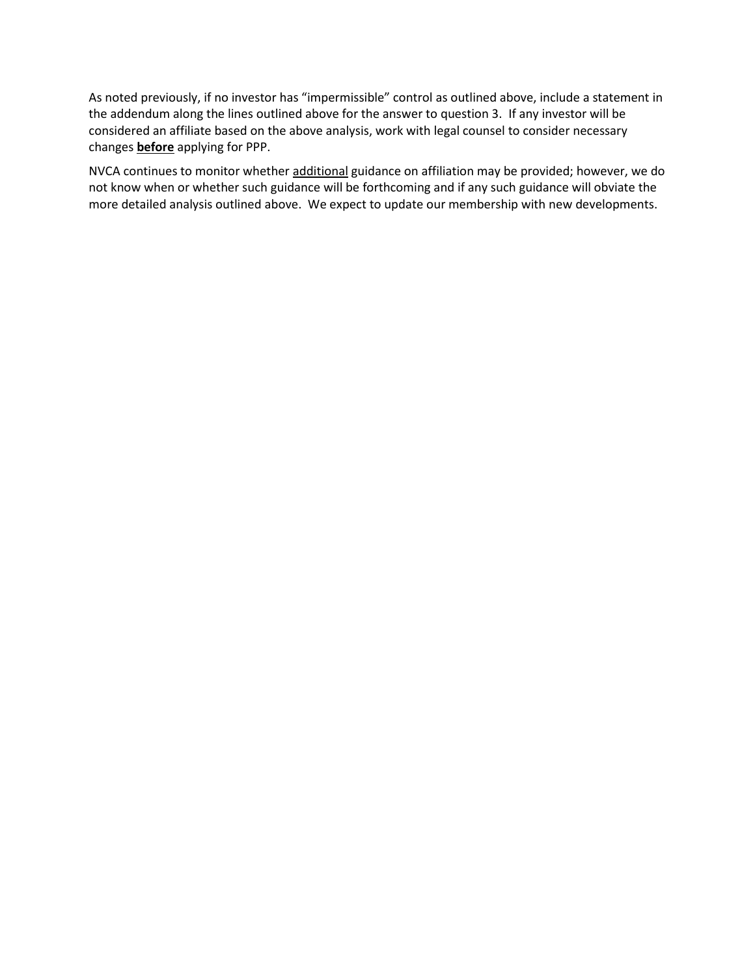As noted previously, if no investor has "impermissible" control as outlined above, include a statement in the addendum along the lines outlined above for the answer to question 3. If any investor will be considered an affiliate based on the above analysis, work with legal counsel to consider necessary changes **before** applying for PPP.

NVCA continues to monitor whether additional guidance on affiliation may be provided; however, we do not know when or whether such guidance will be forthcoming and if any such guidance will obviate the more detailed analysis outlined above. We expect to update our membership with new developments.